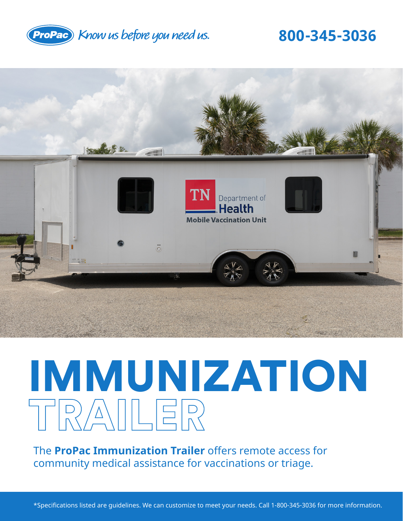

### **800-345-3036**



# IMMUNIZATION TRAILER

The **ProPac Immunization Trailer** offers remote access for community medical assistance for vaccinations or triage.

\*Specifications listed are guidelines. We can customize to meet your needs. Call 1-800-345-3036 for more information.